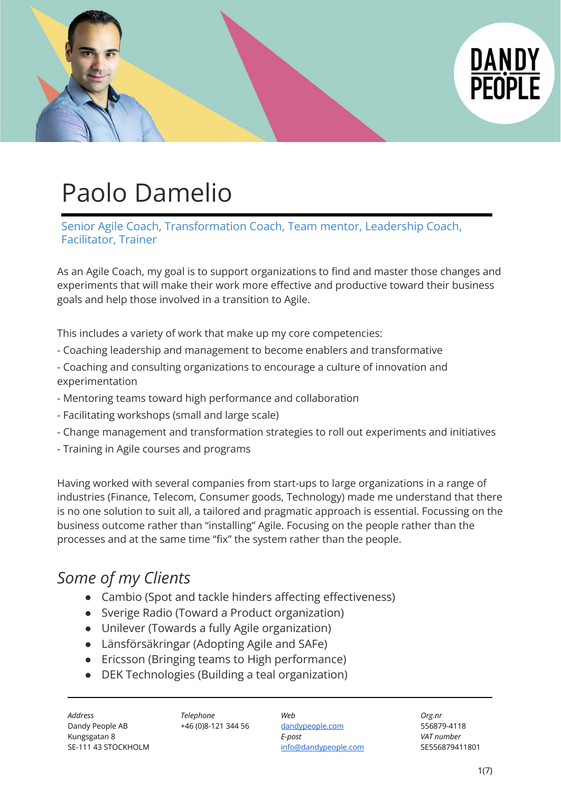

# Paolo Damelio

Senior Agile Coach, Transformation Coach, Team mentor, Leadership Coach, Facilitator, Trainer

As an Agile Coach, my goal is to support organizations to find and master those changes and experiments that will make their work more effective and productive toward their business goals and help those involved in a transition to Agile.

This includes a variety of work that make up my core competencies:

- Coaching leadership and management to become enablers and transformative
- Coaching and consulting organizations to encourage a culture of innovation and experimentation
- Mentoring teams toward high performance and collaboration
- Facilitating workshops (small and large scale)
- Change management and transformation strategies to roll out experiments and initiatives
- Training in Agile courses and programs

Having worked with several companies from start-ups to large organizations in a range of industries (Finance, Telecom, Consumer goods, Technology) made me understand that there is no one solution to suit all, a tailored and pragmatic approach is essential. Focussing on the business outcome rather than "installing" Agile. Focusing on the people rather than the processes and at the same time "fix" the system rather than the people.

# *Some of my Clients*

- Cambio (Spot and tackle hinders affecting effectiveness)
- Sverige Radio (Toward a Product organization)
- Unilever (Towards a fully Agile organization)
- Länsförsäkringar (Adopting Agile and SAFe)
- Ericsson (Bringing teams to High performance)
- DEK Technologies (Building a teal organization)

*Address Telephone Web Org.nr* Dandy People AB +46 (0)8-121 344 56 [dandypeople.com](http://www.dandypeople.com) 556879-4118 Kungsgatan 8 *E-post VAT number* SE-111 43 STOCKHOLM **[info@dandypeople.com](mailto:info@dandypeople.com)** SE556879411801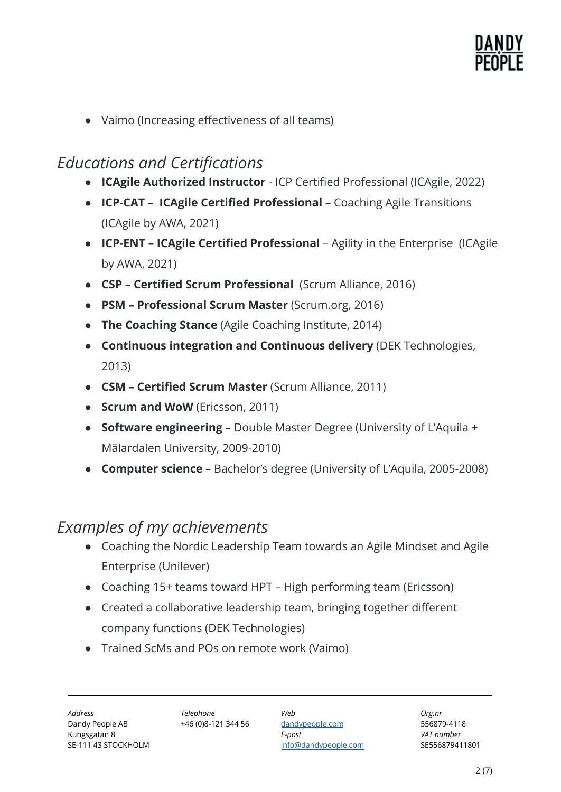● Vaimo (Increasing effectiveness of all teams)

# *Educations and Certifications*

- **ICAgile Authorized Instructor** ICP Certified Professional (ICAgile, 2022)
- **ICP-CAT ICAgile Certified Professional** Coaching Agile Transitions (ICAgile by AWA, 2021)
- **ICP-ENT ICAgile Certified Professional** Agility in the Enterprise (ICAgile by AWA, 2021)
- **CSP Certified Scrum Professional** (Scrum Alliance, 2016)
- **PSM Professional Scrum Master** (Scrum.org, 2016)
- **The Coaching Stance** (Agile Coaching Institute, 2014)
- **Continuous integration and Continuous delivery** (DEK Technologies, 2013)
- **CSM Certified Scrum Master** (Scrum Alliance, 2011)
- **Scrum and WoW** (Ericsson, 2011)
- **Software engineering** Double Master Degree (University of L'Aquila + Mälardalen University, 2009-2010)
- **Computer science** Bachelor's degree (University of L'Aquila, 2005-2008)

# *Examples of my achievements*

- Coaching the Nordic Leadership Team towards an Agile Mindset and Agile Enterprise (Unilever)
- Coaching 15+ teams toward HPT High performing team (Ericsson)
- Created a collaborative leadership team, bringing together different company functions (DEK Technologies)
- Trained ScMs and POs on remote work (Vaimo)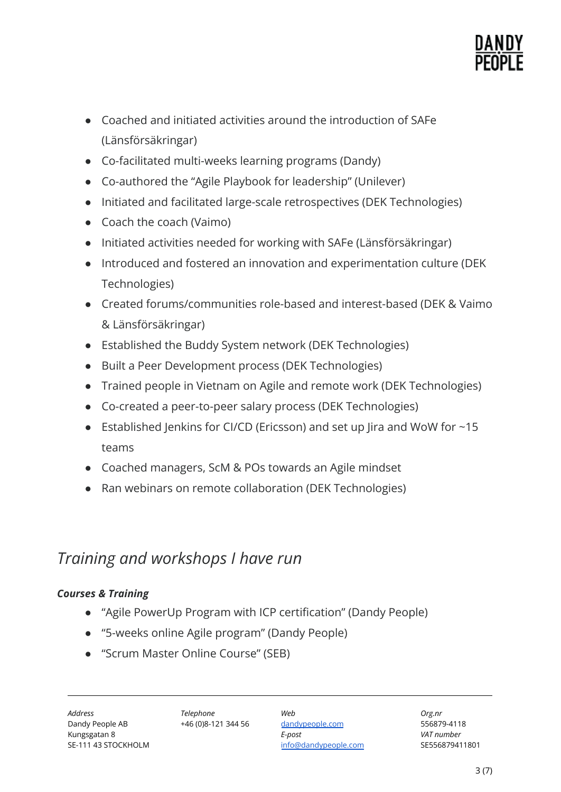

- Coached and initiated activities around the introduction of SAFe (Länsförsäkringar)
- Co-facilitated multi-weeks learning programs (Dandy)
- Co-authored the "Agile Playbook for leadership" (Unilever)
- Initiated and facilitated large-scale retrospectives (DEK Technologies)
- Coach the coach (Vaimo)
- Initiated activities needed for working with SAFe (Länsförsäkringar)
- Introduced and fostered an innovation and experimentation culture (DEK Technologies)
- Created forums/communities role-based and interest-based (DEK & Vaimo & Länsförsäkringar)
- Established the Buddy System network (DEK Technologies)
- Built a Peer Development process (DEK Technologies)
- Trained people in Vietnam on Agile and remote work (DEK Technologies)
- Co-created a peer-to-peer salary process (DEK Technologies)
- Established Jenkins for CI/CD (Ericsson) and set up Jira and WoW for ~15 teams
- Coached managers, ScM & POs towards an Agile mindset
- Ran webinars on remote collaboration (DEK Technologies)

# *Training and workshops I have run*

### *Courses & Training*

- "Agile PowerUp Program with ICP certification" (Dandy People)
- "5-weeks online Agile program" (Dandy People)
- "Scrum Master Online Course" (SEB)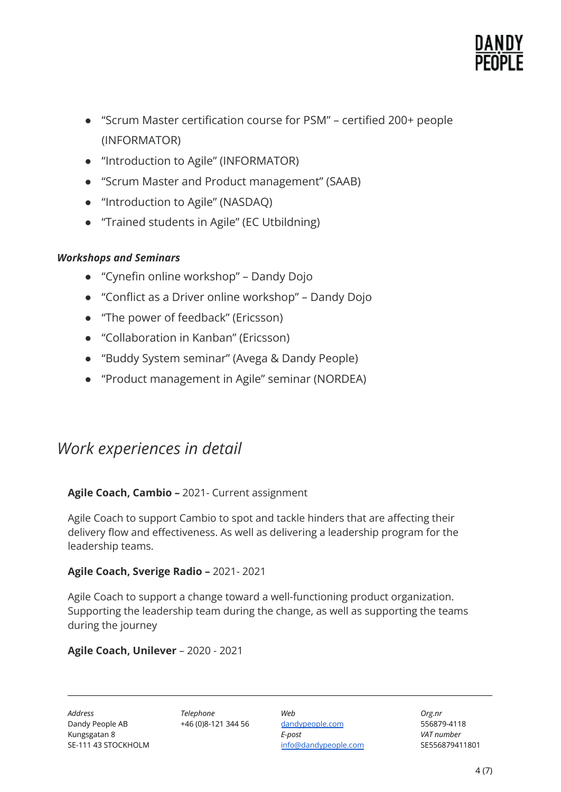

- "Scrum Master certification course for PSM" certified 200+ people (INFORMATOR)
- "Introduction to Agile" (INFORMATOR)
- "Scrum Master and Product management" (SAAB)
- "Introduction to Agile" (NASDAQ)
- "Trained students in Agile" (EC Utbildning)

### *Workshops and Seminars*

- "Cynefin online workshop" Dandy Dojo
- "Conflict as a Driver online workshop" Dandy Dojo
- "The power of feedback" (Ericsson)
- "Collaboration in Kanban" (Ericsson)
- "Buddy System seminar" (Avega & Dandy People)
- "Product management in Agile" seminar (NORDEA)

# *Work experiences in detail*

#### **Agile Coach, Cambio –** 2021- Current assignment

Agile Coach to support Cambio to spot and tackle hinders that are affecting their delivery flow and effectiveness. As well as delivering a leadership program for the leadership teams.

#### **Agile Coach, Sverige Radio –** 2021- 2021

Agile Coach to support a change toward a well-functioning product organization. Supporting the leadership team during the change, as well as supporting the teams during the journey

#### **Agile Coach, Unilever** – 2020 - 2021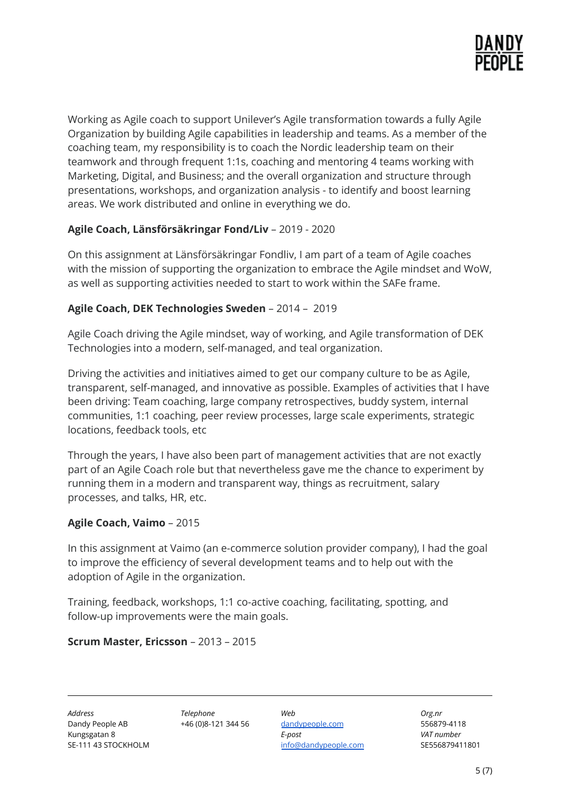

Working as Agile coach to support Unilever's Agile transformation towards a fully Agile Organization by building Agile capabilities in leadership and teams. As a member of the coaching team, my responsibility is to coach the Nordic leadership team on their teamwork and through frequent 1:1s, coaching and mentoring 4 teams working with Marketing, Digital, and Business; and the overall organization and structure through presentations, workshops, and organization analysis - to identify and boost learning areas. We work distributed and online in everything we do.

### **Agile Coach, Länsförsäkringar Fond/Liv** – 2019 - 2020

On this assignment at Länsförsäkringar Fondliv, I am part of a team of Agile coaches with the mission of supporting the organization to embrace the Agile mindset and WoW, as well as supporting activities needed to start to work within the SAFe frame.

#### **Agile Coach, DEK Technologies Sweden** – 2014 – 2019

Agile Coach driving the Agile mindset, way of working, and Agile transformation of DEK Technologies into a modern, self-managed, and teal organization.

Driving the activities and initiatives aimed to get our company culture to be as Agile, transparent, self-managed, and innovative as possible. Examples of activities that I have been driving: Team coaching, large company retrospectives, buddy system, internal communities, 1:1 coaching, peer review processes, large scale experiments, strategic locations, feedback tools, etc

Through the years, I have also been part of management activities that are not exactly part of an Agile Coach role but that nevertheless gave me the chance to experiment by running them in a modern and transparent way, things as recruitment, salary processes, and talks, HR, etc.

#### **Agile Coach, Vaimo** – 2015

In this assignment at Vaimo (an e-commerce solution provider company), I had the goal to improve the efficiency of several development teams and to help out with the adoption of Agile in the organization.

Training, feedback, workshops, 1:1 co-active coaching, facilitating, spotting, and follow-up improvements were the main goals.

#### **Scrum Master, Ericsson** – 2013 – 2015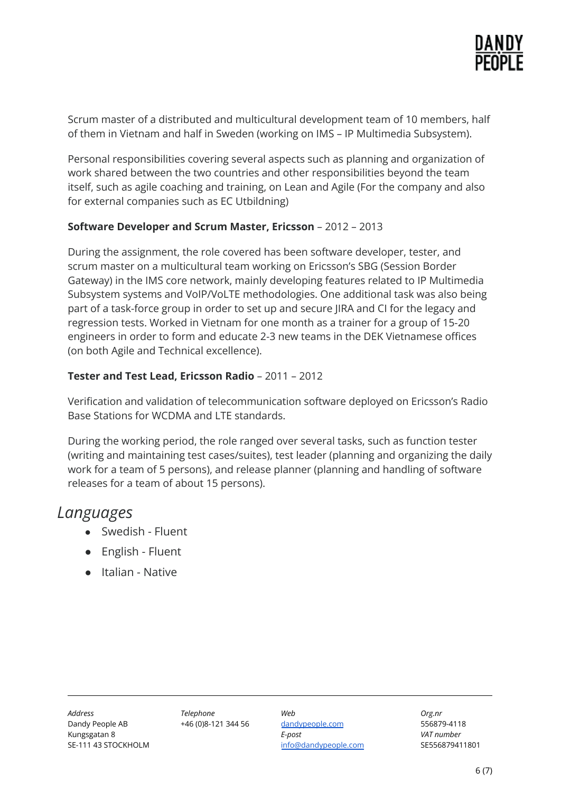

Scrum master of a distributed and multicultural development team of 10 members, half of them in Vietnam and half in Sweden (working on IMS – IP Multimedia Subsystem).

Personal responsibilities covering several aspects such as planning and organization of work shared between the two countries and other responsibilities beyond the team itself, such as agile coaching and training, on Lean and Agile (For the company and also for external companies such as EC Utbildning)

#### **Software Developer and Scrum Master, Ericsson** – 2012 – 2013

During the assignment, the role covered has been software developer, tester, and scrum master on a multicultural team working on Ericsson's SBG (Session Border Gateway) in the IMS core network, mainly developing features related to IP Multimedia Subsystem systems and VoIP/VoLTE methodologies. One additional task was also being part of a task-force group in order to set up and secure JIRA and CI for the legacy and regression tests. Worked in Vietnam for one month as a trainer for a group of 15-20 engineers in order to form and educate 2-3 new teams in the DEK Vietnamese offices (on both Agile and Technical excellence).

#### **Tester and Test Lead, Ericsson Radio** – 2011 – 2012

Verification and validation of telecommunication software deployed on Ericsson's Radio Base Stations for WCDMA and LTE standards.

During the working period, the role ranged over several tasks, such as function tester (writing and maintaining test cases/suites), test leader (planning and organizing the daily work for a team of 5 persons), and release planner (planning and handling of software releases for a team of about 15 persons).

## *Languages*

- Swedish Fluent
- English Fluent
- Italian Native